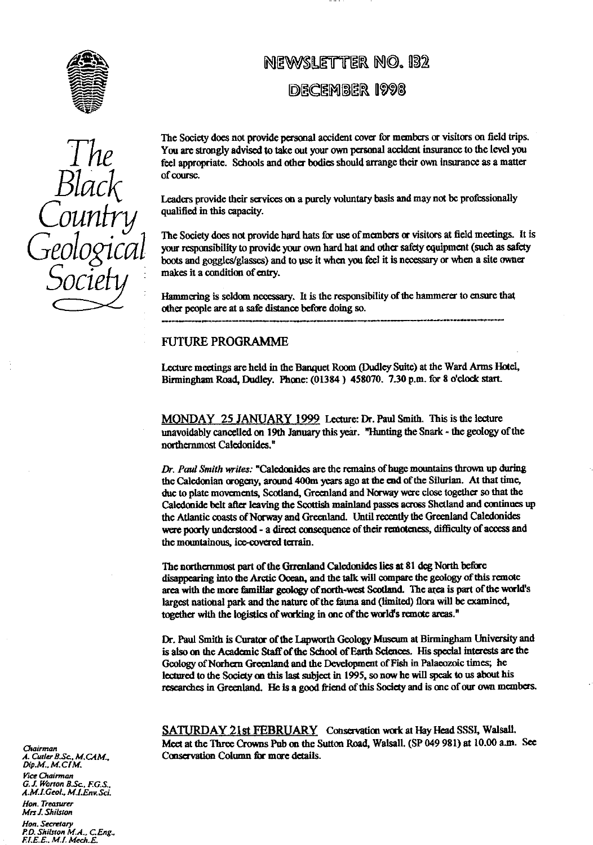

# *The Black* Country *Geological Socie*

# NEWSLETTER NO. 132

# DECEMBER 1998

The Society does not provide personal accident cover for members or visitors on **fi**eld trips. You are strongly advised to take out your own personal accident insurance to the level you feel appropriate. Schools and other bodies should arrange their own insurance as a matter of course.

Leaders provide their services on a purely voluntary basis and may not be professionally qualified in this capacity.

The Society does not provide hard hats for use of members or visitors at field meetings. It is your responsibility to provide your own hard hat and other safety equipment (such as safety boots and goggles/glasses) and to use it when you feel it is necessary or when a site owner makes it a condition of ent**ry**.

Hammering is seldom necessary. It is the re**sp**onsibili**ty** of the hammerer to ensure t**h**at other people are at a safe distance before doing so.

# FUTURE PROGRAMME

Lecture meetings are held in the Banquet Room (Dudley Suite) at the Ward Arms Intel, Birmingham Road, Dudley. Phone: (01384) 458070. 7.30 p.m. for 8 o'clock start.

**MONDAY** 25 JANUARY 1999 Lecture: Dr. Paul Smith. This is the lecture unavoidably cancelled on 19th January this year. "Hunting the Snark - the geology of the northernmost Caledonides."

*Dr. Paul Smith wriles:* "Caledonides are the remains of huge mountains thrown up during the Caledonian progeny, around 400m years ago at the end of the Silurian. At **that** time, due to plate movements, Scotland, Greenland and Norway were close together so that the Caledonide belt after leaving the Scottish mainland passes across Shetland and continues up the Atlantic coasts of Norway and Greenland. Until recently the Greenland Caledonides were poorly understood - a direct consequence of their remoteness, difficulty of access and the mountainous, ice-covered terrain.

The northernmost part of the Grrenland Caledonides lies at 81 deg North before disappearing into the Arctic Ocean, and the talk will compare the geology of this remote area with the more familiar geology of north-west Scotland. The area is part of the world's largest national park and the nature of the fauna and (limited) flora will be examined, together with the logistics of working in one of the world's remote areas.

Dr. Paul Smith is Curator of the Lapworth Geology Museum at Birmingham University and is also on the Academic Staff of the School of Earth Sciences. His special interests are the Geology of Norhern Greenland and the Development of Fish in Palaeozoic times; he lectured to the Society on this last subject in 1995, so *now* he will speak to us about his researches in Greenland. He Is a good friend of this Society and is one of our own members.

SATURDAY 21st FEBRUARY Conservation work at Hay Head SSSI, Walsall. Meet at the Three Crowns Pub on the Sutton Road, Walsall. (SP 049 981) at 10.00 a.m. See Conservation Column **for** more details\_

*Grairman A. Curler B.Sc. M.C.AM., Dip.M.,* M. *ice Chairman*

*G.J. Woman 8.Sc. EGS.. A.M\_l.Geol.. M.LEnv Sri. Hon. Treasurer*

*Mrs J. Shilsion*

*Hon. Secretary P.D.* Shilrron M.A., *CEng.. F.l.E.E.. M.I. Mech.E*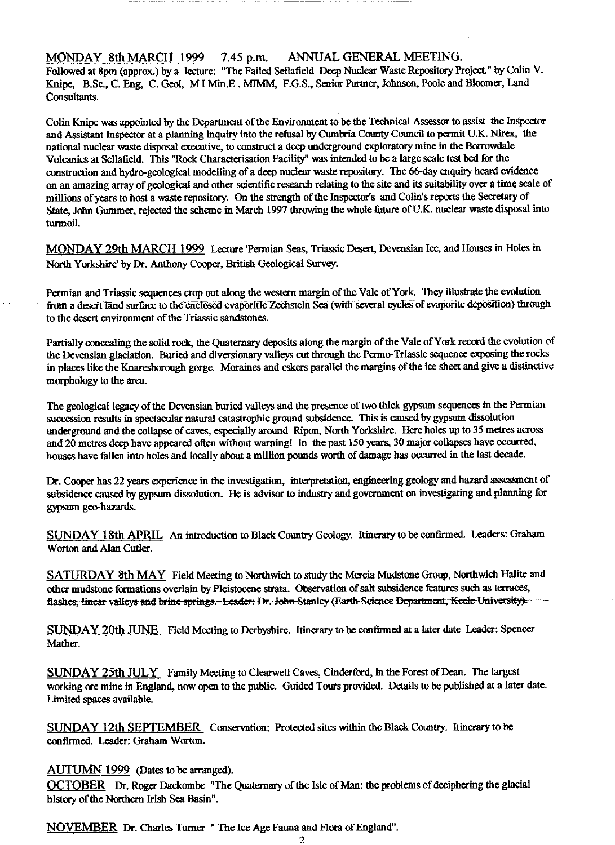MONDAY 8th MARCH 1999 7.45 p.m. ANNUAL GENERAL MEETING.

Followed at 8pm (approx.) *by a* lecture: "The Failed Sellafield Deep Nuclear Waste Repository Project." by Colin V. Knipe, B.Sc., C. Eng, C. Geol, M I Min.E . **MINIM, F.G.S.,** Senior Partner, Johnson, Poole and Bloomer, Land Consultants.

Colin Knipe was appointed by the Department of the Environment to be the Technical Assessor to assist the Inspector and Assistant Inspector at a planning inquiry into the refusal by Cumbria County Council to permit U.K. Nirex, the national nuclear waste disposal executive, to construct a deep underground exploratory mine in the Borrowdale Volcanics at Sellafield. This "Rock Characterisation Facility" was intended to be a large scale test bed for the construction and hydro-geological modelling of a deep nuclear waste repository. The 66-day enquiry heard evidence on an amazing array of geological and other scientific research relating to the site and its suitability over a time scale of millions of years to host a waste repository. On the strength of the Inspector's and Colin's reports the Secretary of State, John Gummer, rejected the scheme in March 1997 throwing the whole future of U.K. nuclear waste disposal into turmoil.

MONDAY 29th MARCH 1999 Lecture Permian Seas, Triassic Desert, Devensian Ice, and Houses in Holes in North Yorkshire' by Dr. Anthony Cooper, British Geological Survey.

Permian and Triassic sequences crop out along the western margin of the Vale of York. They illustrate the evolution from a desert land surface to the enclosed evaporitic Zechstein Sea (with several cycles of evaporite deposition) through to the desert environment of the Triassic sandstones.

Partially concealing the solid rock, the Quaternary deposits along the margin of the Vale of York record the evolution of the Devensian glaciation. Buried and diversionary valleys cut through the Pcrmo-Triassic sequence exposing the rocks in places like the Knaresborough gorge. Moraines and eskers parallel the margins of the ice sheet and give a distinctive morphology to the area.

The geological legacy of the Devensian buried valleys and the presence of two thick gypsum sequences in the Permian succession results in spectacular natural catastrophic ground subsidence. This is caused by gypsum dissolution underground and the collapse of caves, especially around Ripon, North Yorkshire. Here holes up to 35 metres across and 20 metres deep have appeared often without warning! In the past 150 years, 30 major collapses have occurred, houses have fallen into holes and locally about a million pounds worth of damage has occurred in the last decade.

Dr. Cooper has 22 years experience in the investigation, interpretation, engineering geology and hazard assesstnent of subsidence caused by gypsum dissolution. He is advisor to industry and government on investigating and planning for gypsum gee-hazards.

SUNDAY 18th APRIL An introduction to Black Country Geology. Itinerary to be confirmed. Leaders: Graham Worton and Alan Cutler.

SATURDAY 8th MAY Field Meeting to Northwich to study the Mercia Mudstone Group, Northwich Halite and other mudstone formations overlain by Pleistocene strata. Observation of salt subsidence features such as terraces, flashes, linear valleys and brine springs. Leader: Dr. John Stanley (Earth-Science Department, Keele University).

SUNDAY 20th JUNE Field Meeting to Derbyshire. Itinerary to be confirmed at a later date Leader: Spencer Mather.

SUNDAY 25th JULY Family Meeting to Clearwell Caves, Cinderford, In the Forest of Dean. The largest working ore mine in England, now open to the public. Guided Tours provided. Details to be published at a later date. Limited spaces available.

SUNDAY 12th SEPTEMBER Conservation. Protected sites within the Black Country. Itinerary to be confirmed. Leader: Graham Worton.

# AUTUMN 1999 (Dates to be arranged).

OCTOBER Dr. Roger Dackombe "The Quaternary of the Isle of Man: the problems of deciphering the glacial history of the Northern Irish Sea Basin".

NOVEMBER Dr. Charles Turner " The Ice Age Fauna and Flora of England".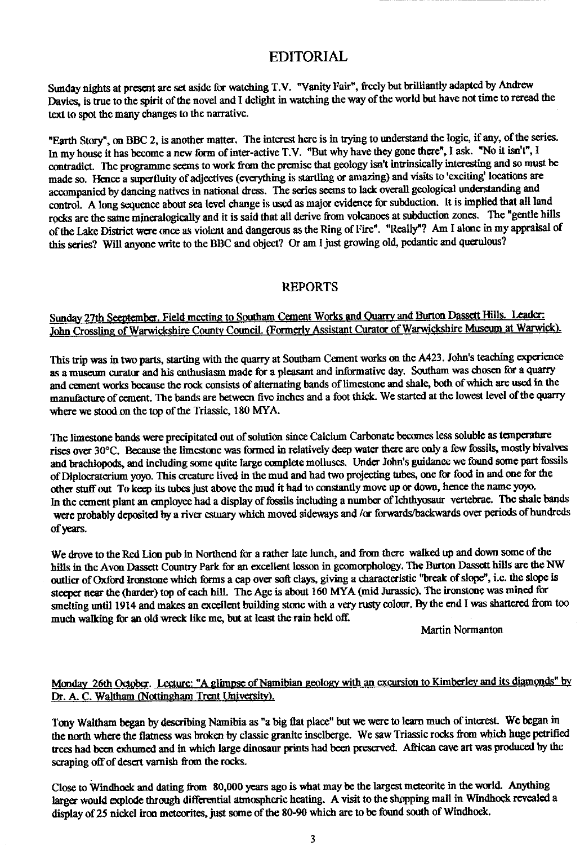# EDITORIAL

Sunday nights at present arc set aside for watching T.V. "Vanity Fair", freely but brilliantly adapted by Andrew Davies, is true to the spirit of the novel and I delight in watching the way of the world but have not time to reread the text to spot the many changes to the narrative.

"Earth Story", on BBC 2, is another matter. The interest here is in trying to understand the logic, if any, of the series. In my house it has become a new form of inter-active T.V. "But why have they gone there", I ask. "No it isn't", I contradict. The programme seems to work from the premise that geology isn't intrinsically interesting and so must be made so. Hen**ce** a superfluity of adjectives (everything is startling or amazing) and visits to'exciting' locations are accompanied by dancing natives in national dress. The series seems to lack overall geological understanding and control. A long sequence about sea level change is used as major evidence for subduction. It is implied that all land rocks are the same mineralogically and it is said that all derive from volcanoes at subduction zones. The "gentle hills of the Lake District were on**ce** as violent and dangerous as the Ring of Fire". "Really"? Am I alone in my appraisal of this series? Will anyone write to the BBC and object? Or am I just growing old, pedantic and querulous?

## REPORTS

# Sunday 27th Seeptember. Field meeting to Southam Cement Works and Quarry and Burton Dassett Hills. Leader: John Crossling of Warwickshire County Council. (Formerly Assistant Curator of Warwickshire Museum at Warwick).

This trip was in two parts, starting with the quar**ry** at Southam Cement works on the A423. John's teaching experience as a museum curator and his enthusiasm made for a pleasant and informative day. Southam was chosen for a quarry and cement works because the rock consists of alternating bands of limestone and shale, both of which are used in the manufacture of cement. The bands are between five inches and a foot thick. We started at the lowest level of the quarry where we stood on the top of the Triassic, 180 MYA.

The limestone bands were precipitated out of solution since Calcium Carbonate becomes less soluble as temperature rises over 30°C. Because the limestone was formed in relatively deep water there are only a few fossils, mostly bivalves and brachiopods, and including some quite large complete molluscs. Under John's guidance we f**ou**nd some part fossils of Diplocraterium yoyo. This creature lived in the mud and had two projecting tubes, one for food in and one for the other stuff out To keep its tubes Just above the mud it had to constantly move up or down, hence the name yoyo, In the cement plant an employee had a display of fossils including a number of Ichthyosaur vertebrae. The shale bands were probably deposited by a river estuary which moved sideways and /or forwards/backwards over periods of hundreds of years.

We drove to the Red Lion pub in Northend for a rather late lunch, and from there walked up and down some of the hills in the Avon Dassett Country Park for an excellent lesson in geomorphology. The Burton Dasse**tt** hills are the NW outlier of Oxford Ironstone which forms a cap over soft clays, giving a characteristic "break of slope", **i.e.** the slope is steeper near the (harder) top of each hill. The Age is about 160 MYA (mid Jurassic). The ironstone was mined for smelting until 1914 and makes an excellent building stone with a very rusty colour. By the end I was shattered from too much walking for an old wreck like me, but at least the rain held off.

Martin Normanton

# Monday 26th October. Lecture: "A glimpse of Namibian geology with an excursion to Kimberley and its diamonds" by Dr. A. C. Waltham (Nottingham Trent University).

Tony Waltham began by describing Namibia as "a big flat place" but we were to learn much of interest. We began in the north where the flatness was broken by classic granite inselberge. We saw Triassic rocks from which huge petrified trees had been exhumed and in which large dinosaur prints had been preserved. African cave a**rt** was produced by the scraping off of desert varnish **fr**om the rocks.

Close to W**in**dhoek and dating from 80,000 years ago is what may be the largest meteorite in the world. Anything larger would explode through differential atmospheric heating. A visit to the shopping mall in Windhoek revealed a display of 25 nickel iron meteorites, just some of the 80-90 which are to be found south of Windhoek.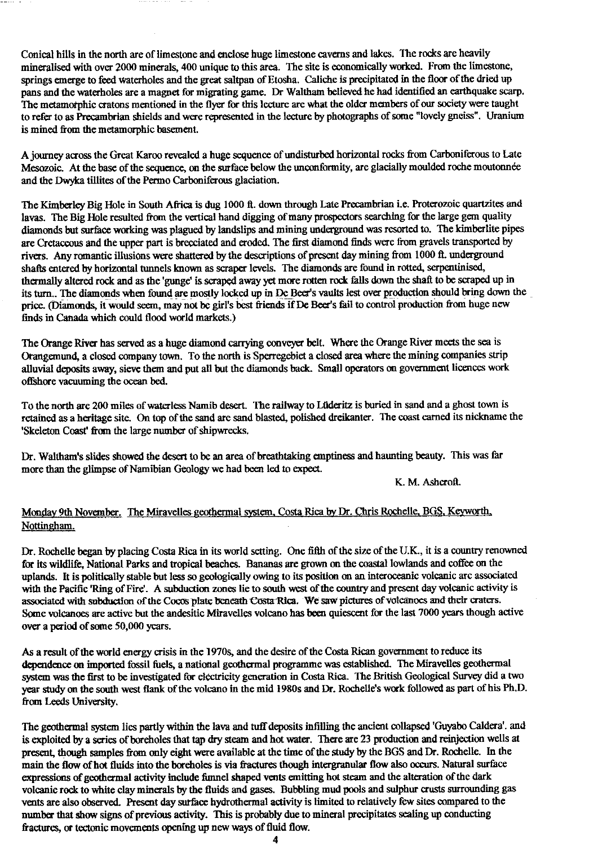Conical hills in the north are of limestone and enclose huge limestone caverns and lakes. The rocks are heavily mineralised with over 2000 minerals, 400 unique to this area. The site is economically worked. From the limestone, springs emerge to feed waterholes and the great saltpan of Etosha. Caliche is precipitated in the floor of the dried up pans and the waterholes are a magnet for migrating game. Dr Waltham believed he had identified an earthquake scarp. The metamorphic cratons mentioned in the flyer for this lecture are what the older members of our society were taught to refer to as Precambrian shields and were represented in the lecture by photographs of some "lovely gneiss". Uranium is mined from the metamorphic basement.

A journey across the Great Karoo revealed a huge sequence of undisturbed horizontal rocks from Carboniferous to Late Mesozoic. At the base of the sequence, on the surface below the unconformity, are glacially moulded roche moutonnee and the Dwyka tillites of the Permo Carboniferous glaciation.

The Kimberley Big Hole in South Africa is dug 1000 ft. down through Late Precambrian i.e. Proterozoic quartzites and lavas. The Big Hale resulted from the vertical hand digging of many prospectors searching for the large gem quality diamonds but surface working was plagued by landslips and mining underground was resorted to. The kimberlite pipes are Cretaceous and the upper part is brecciated and eroded. The first diamond finds were from gravels transported by rivers. Any romantic illusions were shattered by the descriptions of present day mining from 1000 ft. underground shafts entered by horizontal tunnels known as scraper levels. The diamonds are found in rotted, serpentinised, thermally altered rock and as the 'gunge' isscraped away yet more rotten rock falls down the shaft to be scraped up in its turn.. The diamonds when found are mostly locked up in De Beer's vaults lest over production should bring down the price. (Diamonds, it would seem, may not be girl's best friends if De Beer's fail to control production from huge new finds in Canada which could flood world markets.)

The Orange River has served as a huge diamond carrying conveyer belt. Where the Orange River meets the sea is Orangemund, a closed company town. To the north is Sperregebiet a closed area where the mining companies strip alluvial deposits away, sieve them and put all but the diamonds back. Small operators on government licences work offshore vacuuming the ocean bed.

To the north are 200 miles of waterless Namib desert. The railway to Luderitz is buried in sand and a ghost town is retained as a heritage site. On top of the sand are sand blasted, polished dreikanter. The coast earned its nickname the 'Skeleton Coast' from the large number of shipwrecks.

Dr. Waltham's slides showed the desert to be an area of breathtaking emptiness and haunting beauty. This was far more than the glimpse of Namibian Geology we had been led to expect.

K. M. Ashcroft.

# Monday 9th November. The Miravelles geothermal system, Costa Rica by Dr. Chris Rochelle, BGS, Keyworth. Nottingham.

Dr. Rochelle began by placing Costa Rica in its world setting. One fifth of the size of the U.K., it is a country renowned for its wildlife, National Parks and tropical beaches. Bananas are grown on the coastal lowlands and coffee on the uplands. It is politically stable but less so geologically owing to its position on an interoceanic volcanic are associated with the Pacific 'Ring of Fire'. A subduction zones lie to south west of the country and present day volcanic activity is associated with subduction of the Cocos plate beneath Costa-Rica. We saw pictures of volcanoes and their craters. Some volcanoes are active but the andesitic Miravelles volcano has been quiescent for the last 7000 years though active over a period of some 50,000 years.

As a result of the world energy crisis in the 19706, and the desire of the Costa Rican government to reduce its dependence on imported fossil fuels, a national geothermal programme was established. The Miravelles geothermal system was the first to be investigated for electricity generation in Costa Rica. The British Geological Survey did a two year study on the south west flank of the volcano in the mid 1980s and Dr.. Rochelle's work followed as part of his Ph.D. from Leeds University.

The geothermal system lies partly within the lava and tuff deposits infilling the ancient collapsed 'Guyabo Caldera'. and is exploited by a series of boreholes that tap dry steam and hot water. There are 23 production and reinjection wells at present, though samples from only eight were available at the time of the study by the BGS and Dr. Rochelle. In the main the flow of hot fluids into the borcholes is via fractures though intergranular flow also occurs. Natural surface expressions of geothermal activity include funnel shaped vents emitting hot steam and the alteration of the dark volcanic rock to white clay minerals by the fluids and gases. Bubbling mud pools and sulphur crusts surrounding gas vents are also observed. Present day surface hydrothermal activity is limited to relatively few sites compared to the number that show signs of previous activity. This is probably due to mineral precipitates sealing up conducting fractures, or tectonic movements opening up new ways of fluid flow.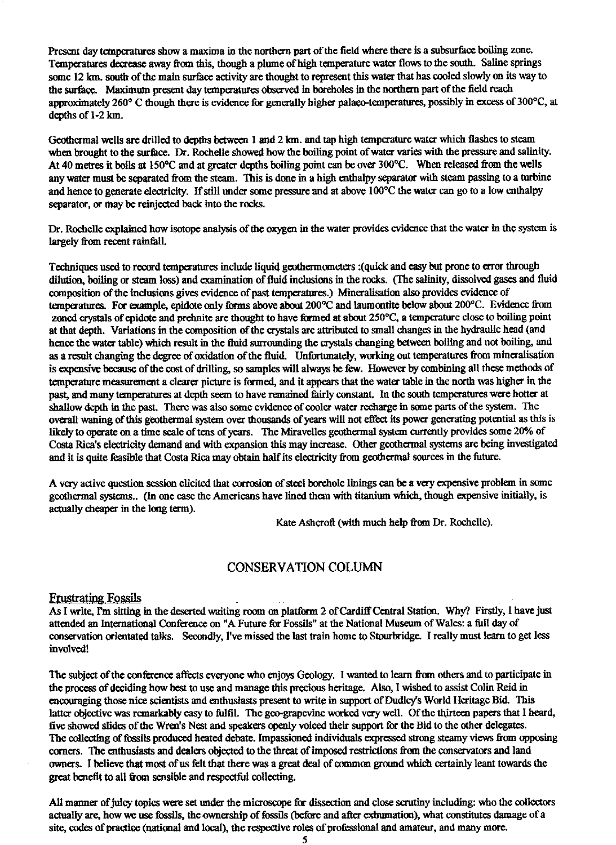Present day temperatures show a maxima in the northern part of the field where there is a subsurface boiling zone. Temperatures decrease away from this, though a plume of high temperature water flows to the south. Saline springs some 12 km. south of the main surface activity are thought to represent this water that has cooled slowly on its way to the surface. Maximum present day temperatures observed in boreholes in the northern part of the field reach approximately 260° C though there is evidence for generally higher palaeo-temperatures, possibly in excess of 300°C, at depths of 1-2 km.

Geothermal wells are drilled to depths between 1 and 2 km. and tap high temperature water which flashes to steam when brought to the surface. Dr. Rochelle showed how the boiling point of water varies with the pressure and salinity. At 40 metres it boils at 150°C and at greater depths boiling point can be over 300°C. When released from the wells any water must be separated from the steam. This is done in a high enthalpy separator with steam passing to a turbine and hence to generate electricity. If still under some pressure and at above 100°C the water can go to a low enthalpy separator, or may be reinjected back into the rocks.

Dr. Rochelle explained how isotope analysis of the oxygen in the water provides evidence that the water in the system is largely from recent rainfall.

Techniques used to record temperatures include liquid geothermometars :(quick and easy but prone to error through dilution, boiling or steam loss) and examination of fluid inclusions in the rocks. (The salinity, dissolved gases and fluid composition of the inclusions gives evidence of past temperatures.) Mineralisation also provides evidence of temperatures. For example, epidote only forms above about 200°C and laumontite below about 200°C. Evidence from zoned crystals of epidote and prehnite are thought to have formed at about 250°C, a temperature close to boiling point at that depth. Variations in the composition of the crystals are attributed to small changes in the hydraulic head (and hence the water table) which result in the fluid surrounding the crystals changing between boiling and not boiling, and as a result changing the degree of oxidation of the fluid. Unfortunately, working out temperatures from mineralisation is expensive because of the cost of drilling, so samples will always be few. However by combining all these methods of temperature measurement a clearer picture is formed, and it appears that the water table in the north was higher in the past, and many temperatures at depth seem to have remained fairly constant. In the south temperatures were hotter at shallow depth in the past. There was also some evidence of cooler water recharge in some parts of the system. The overall waning of this geothermal system over thousands of years will not effect its power generating potential as this is likely to operate on a time scale of tens of years. The Miravelles geothermal system currently provides some 20% of Costa Rica's electricity demand and with expansion this may increase. Other geothermal systems are being investigated and it is quite feasible that Costa Rica may obtain half its electricity from geothermal sources in the future.

A very active question session elicited that corrosion of steel borehole linings can be a very expensive problem in some geothermal systems.. (In one case the Americans have lined them with titanium which, though expensive initially, is actually cheaper in the long term).

Kate Ashcroft (with much help from Dr. Rochelle).

### CONSERVATION COLUMN

#### Frustrating Fossils

As I write, I'm sitting in the deserted waiting room on platform 2 of Cardiff Central Station. Why? Firstly, I have just attended an International Conference on "A Future for Fossils" at the National Museum of Wales: a full day of conservation orientated talks. Secondly, I've missed the last train home to Stourbridge. I really must learn to get less involved!

The subject of the conference affects everyone who enjoys Geology. I wanted to learn from others and to participate in the process of deciding how best to use and manage this precious heritage. Also, I wished to assist Colin Reid in encouraging those nice scientists and enthusiasts present to write in support of Dudley's World Heritage Bid. This latter objective was remarkably easy to fulfil. The geo-grapevine worked very well. Of the thirteen papers that I heard, five showed slides of the Wren's Nest and speakers openly voiced their support for the Bid to the other delegates. The collecting of fossils produced heated debate. Impassioned individuals expressed strong steamy views from opposing corners. The enthusiasts and dealers objected to the threat of imposed restrictions from the conservators and land owners. I believe that most of us felt that there was a great deal of common ground which certainly leant towards the great benefit to all from sensible and respectful collecting.

All manner of juley topics were set under the microscope for dissection and close scrutiny including: who the collectors actually are, how we use fossils, the ownership of fossils (before and after exhumation), what constitutes damage of a site, codes of practice (national and local), the respective roles of professional and amateur, and many more.